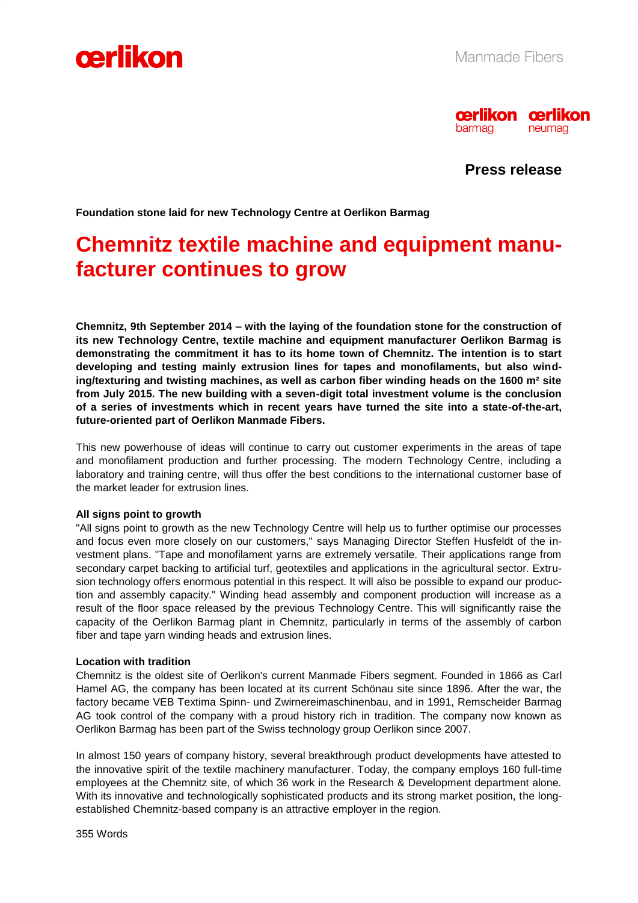



**Press release**

**Foundation stone laid for new Technology Centre at Oerlikon Barmag**

# **Chemnitz textile machine and equipment manufacturer continues to grow**

**Chemnitz, 9th September 2014 – with the laying of the foundation stone for the construction of its new Technology Centre, textile machine and equipment manufacturer Oerlikon Barmag is demonstrating the commitment it has to its home town of Chemnitz. The intention is to start developing and testing mainly extrusion lines for tapes and monofilaments, but also winding/texturing and twisting machines, as well as carbon fiber winding heads on the 1600 m² site from July 2015. The new building with a seven-digit total investment volume is the conclusion of a series of investments which in recent years have turned the site into a state-of-the-art, future-oriented part of Oerlikon Manmade Fibers.** 

This new powerhouse of ideas will continue to carry out customer experiments in the areas of tape and monofilament production and further processing. The modern Technology Centre, including a laboratory and training centre, will thus offer the best conditions to the international customer base of the market leader for extrusion lines.

#### **All signs point to growth**

"All signs point to growth as the new Technology Centre will help us to further optimise our processes and focus even more closely on our customers," says Managing Director Steffen Husfeldt of the investment plans. "Tape and monofilament yarns are extremely versatile. Their applications range from secondary carpet backing to artificial turf, geotextiles and applications in the agricultural sector. Extrusion technology offers enormous potential in this respect. It will also be possible to expand our production and assembly capacity." Winding head assembly and component production will increase as a result of the floor space released by the previous Technology Centre. This will significantly raise the capacity of the Oerlikon Barmag plant in Chemnitz, particularly in terms of the assembly of carbon fiber and tape yarn winding heads and extrusion lines.

# **Location with tradition**

Chemnitz is the oldest site of Oerlikon's current Manmade Fibers segment. Founded in 1866 as Carl Hamel AG, the company has been located at its current Schönau site since 1896. After the war, the factory became VEB Textima Spinn- und Zwirnereimaschinenbau, and in 1991, Remscheider Barmag AG took control of the company with a proud history rich in tradition. The company now known as Oerlikon Barmag has been part of the Swiss technology group Oerlikon since 2007.

In almost 150 years of company history, several breakthrough product developments have attested to the innovative spirit of the textile machinery manufacturer. Today, the company employs 160 full-time employees at the Chemnitz site, of which 36 work in the Research & Development department alone. With its innovative and technologically sophisticated products and its strong market position, the longestablished Chemnitz-based company is an attractive employer in the region.